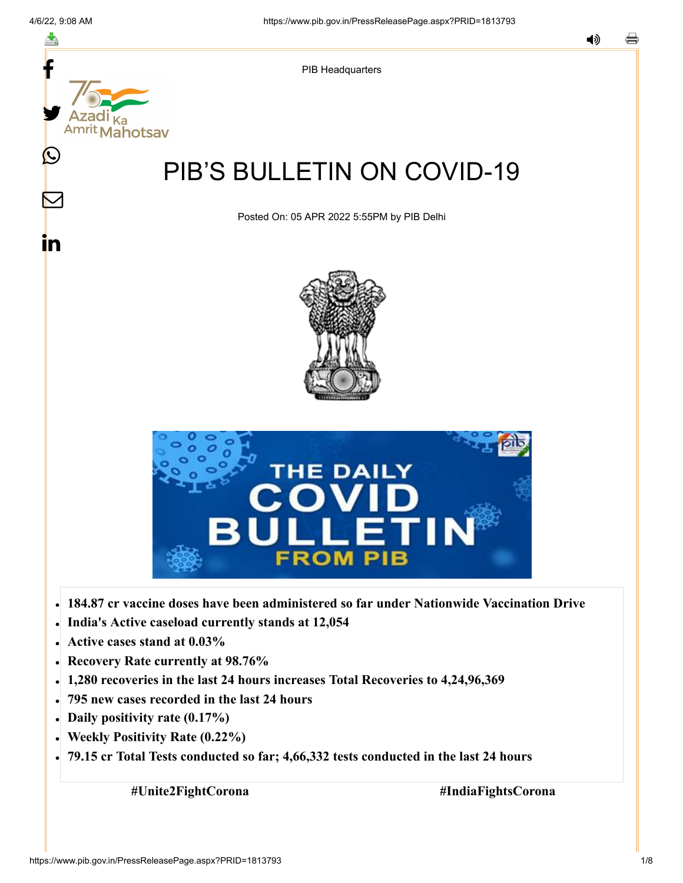f

≛

y.

**Mahotsav** 

Ŀ

 $\bm{\nabla}$ 

<u>in</u>



# PIB'S BULLETIN ON COVID-19

Posted On: 05 APR 2022 5:55PM by PIB Delhi





- **184.87 cr vaccine doses have been administered so far under Nationwide Vaccination Drive**
- **India's Active caseload currently stands at 12,054**
- **Active cases stand at 0.03%**
- **Recovery Rate currently at 98.76%**
- **1,280 recoveries in the last 24 hours increases Total Recoveries to 4,24,96,369**
- **795 new cases recorded in the last 24 hours**
- **Daily positivity rate (0.17%)**
- **Weekly Positivity Rate (0.22%)**
- **79.15 cr Total Tests conducted so far; 4,66,332 tests conducted in the last 24 hours**

**#Unite2FightCorona #IndiaFightsCorona**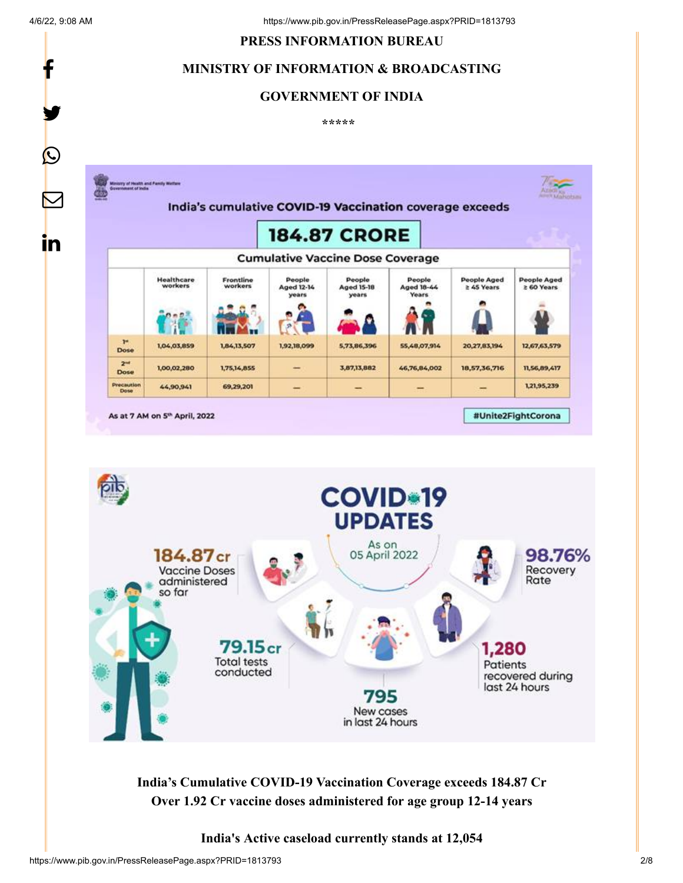f

y.

 $\bigcirc$ 

in

#### **PRESS INFORMATION BUREAU**

# **MINISTRY OF INFORMATION & BROADCASTING**

#### **GOVERNMENT OF INDIA**

**\*\*\*\*\*** 





**India's Cumulative COVID-19 Vaccination Coverage exceeds 184.87 Cr Over 1.92 Cr vaccine doses administered for age group 12-14 years**

#### **India's Active caseload currently stands at 12,054**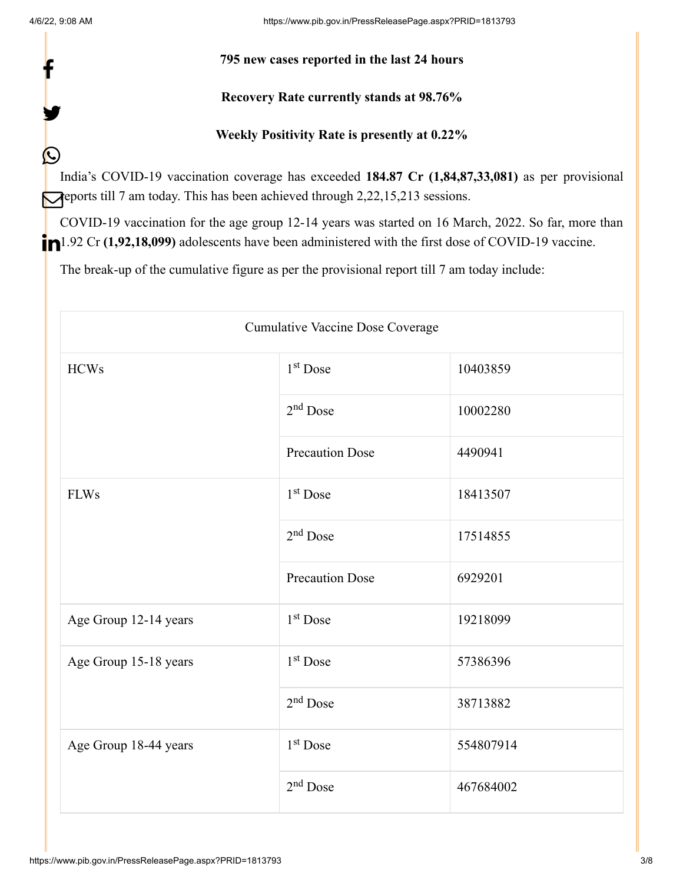f

y.

 $\bigcirc$ 

### **795 new cases reported in the last 24 hours**

# **Recovery Rate currently stands at 98.76%**

# **Weekly Positivity Rate is presently at 0.22%**

India's COVID-19 vaccination coverage has exceeded **184.87 Cr (1,84,87,33,081)** as per provisional **reports till 7 am today. This has been achieved through 2,22,15,213 sessions.** 

COVID-19 vaccination for the age group 12-14 years was started on 16 March, 2022. So far, more than 1.92 Cr (1,92,18,099) adolescents have been administered with the first dose of COVID-19 vaccine.

The break-up of the cumulative figure as per the provisional report till 7 am today include:

| Cumulative Vaccine Dose Coverage |                        |           |  |  |
|----------------------------------|------------------------|-----------|--|--|
| <b>HCWs</b>                      | $1st$ Dose             | 10403859  |  |  |
|                                  | $2nd$ Dose             | 10002280  |  |  |
|                                  | <b>Precaution Dose</b> | 4490941   |  |  |
| <b>FLWs</b>                      | $1st$ Dose             | 18413507  |  |  |
|                                  | $2nd$ Dose             | 17514855  |  |  |
|                                  | <b>Precaution Dose</b> | 6929201   |  |  |
| Age Group 12-14 years            | $1st$ Dose             | 19218099  |  |  |
| Age Group 15-18 years            | $1st$ Dose             | 57386396  |  |  |
|                                  | $2nd$ Dose             | 38713882  |  |  |
| Age Group 18-44 years            | $1st$ Dose             | 554807914 |  |  |
|                                  | $2nd$ Dose             | 467684002 |  |  |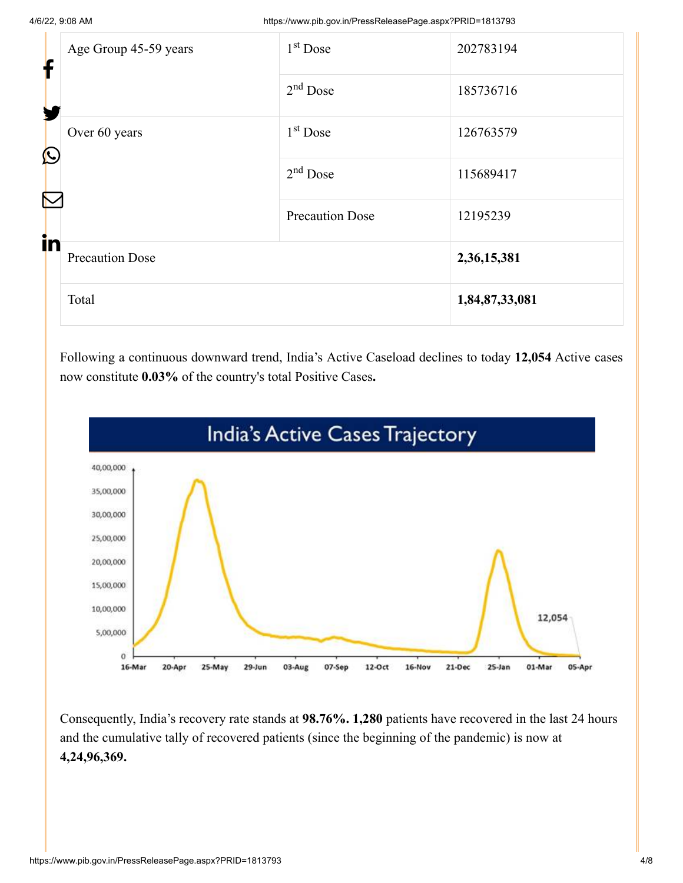| f               | Age Group 45-59 years  | $1st$ Dose             | 202783194      |
|-----------------|------------------------|------------------------|----------------|
| Y<br>$\bigcirc$ |                        | $2nd$ Dose             | 185736716      |
|                 | Over 60 years          | $1st$ Dose             | 126763579      |
|                 |                        | $2nd$ Dose             | 115689417      |
| in              |                        | <b>Precaution Dose</b> | 12195239       |
|                 | <b>Precaution Dose</b> |                        | 2,36,15,381    |
|                 | Total                  |                        | 1,84,87,33,081 |

Following a continuous downward trend, India's Active Caseload declines to today **12,054** Active cases now constitute **0.03%** of the country's total Positive Cases**.**



Consequently, India's recovery rate stands at **98.76%. 1,280** patients have recovered in the last 24 hours and the cumulative tally of recovered patients (since the beginning of the pandemic) is now at **4,24,96,369.**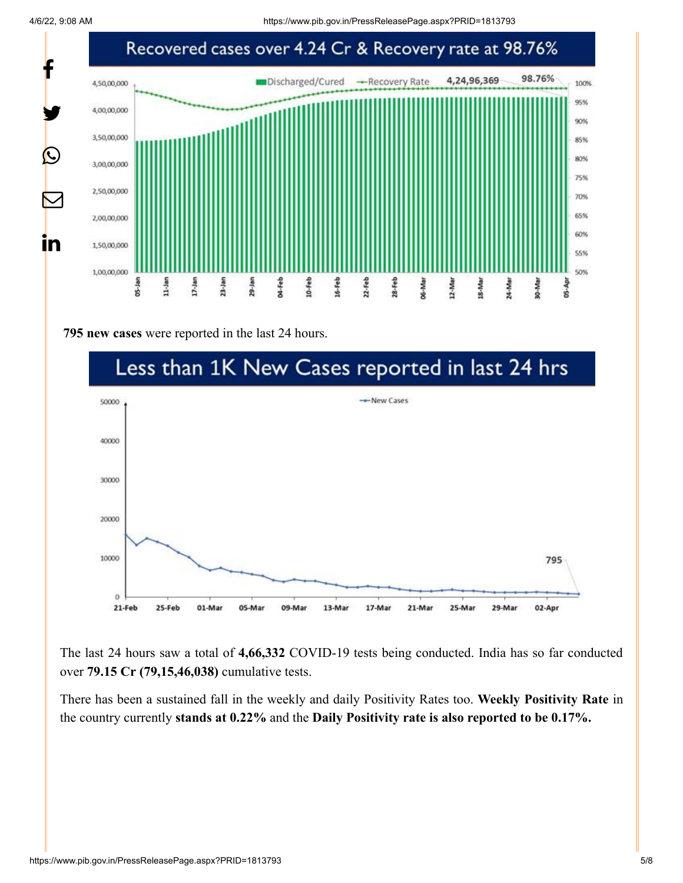4/6/22, 9:08 AM https://www.pib.gov.in/PressReleasePage.aspx?PRID=1813793



**795 new cases** were reported in the last 24 hours.



The last 24 hours saw a total of **4,66,332** COVID-19 tests being conducted. India has so far conducted over **79.15 Cr (79,15,46,038)** cumulative tests.

There has been a sustained fall in the weekly and daily Positivity Rates too. **Weekly Positivity Rate** in the country currently **stands at 0.22%** and the **Daily Positivity rate is also reported to be 0.17%.**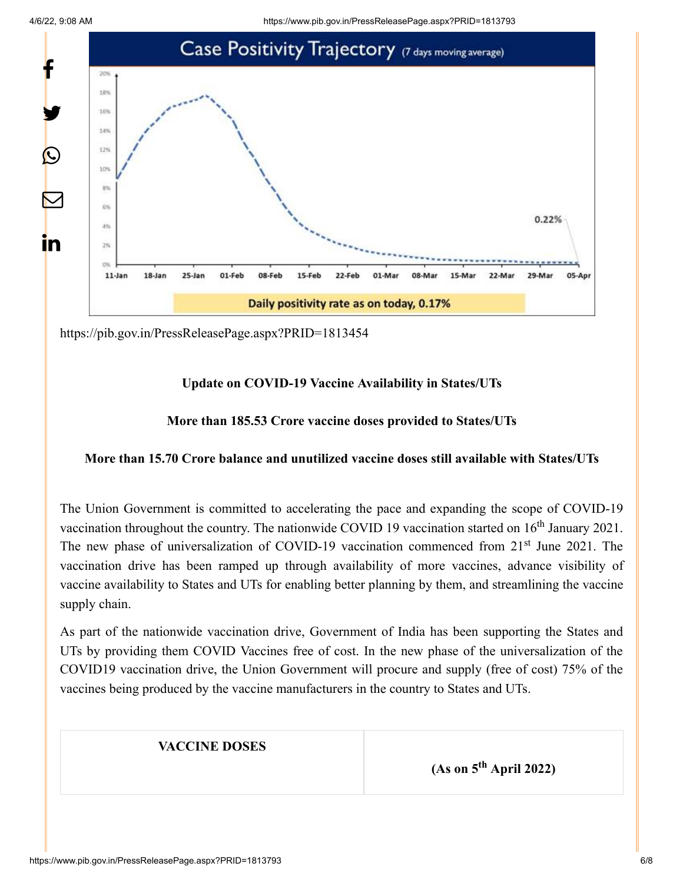4/6/22, 9:08 AM https://www.pib.gov.in/PressReleasePage.aspx?PRID=1813793



<https://pib.gov.in/PressReleasePage.aspx?PRID=1813454>

# **Update on COVID-19 Vaccine Availability in States/UTs**

# **More than 185.53 Crore vaccine doses provided to States/UTs**

# **More than 15.70 Crore balance and unutilized vaccine doses still available with States/UTs**

The Union Government is committed to accelerating the pace and expanding the scope of COVID-19 vaccination throughout the country. The nationwide COVID 19 vaccination started on  $16<sup>th</sup>$  January 2021. The new phase of universalization of COVID-19 vaccination commenced from 21<sup>st</sup> June 2021. The vaccination drive has been ramped up through availability of more vaccines, advance visibility of vaccine availability to States and UTs for enabling better planning by them, and streamlining the vaccine supply chain.

As part of the nationwide vaccination drive, Government of India has been supporting the States and UTs by providing them COVID Vaccines free of cost. In the new phase of the universalization of the COVID19 vaccination drive, the Union Government will procure and supply (free of cost) 75% of the vaccines being produced by the vaccine manufacturers in the country to States and UTs.

#### **VACCINE DOSES**

 $(As on 5<sup>th</sup> April 2022)$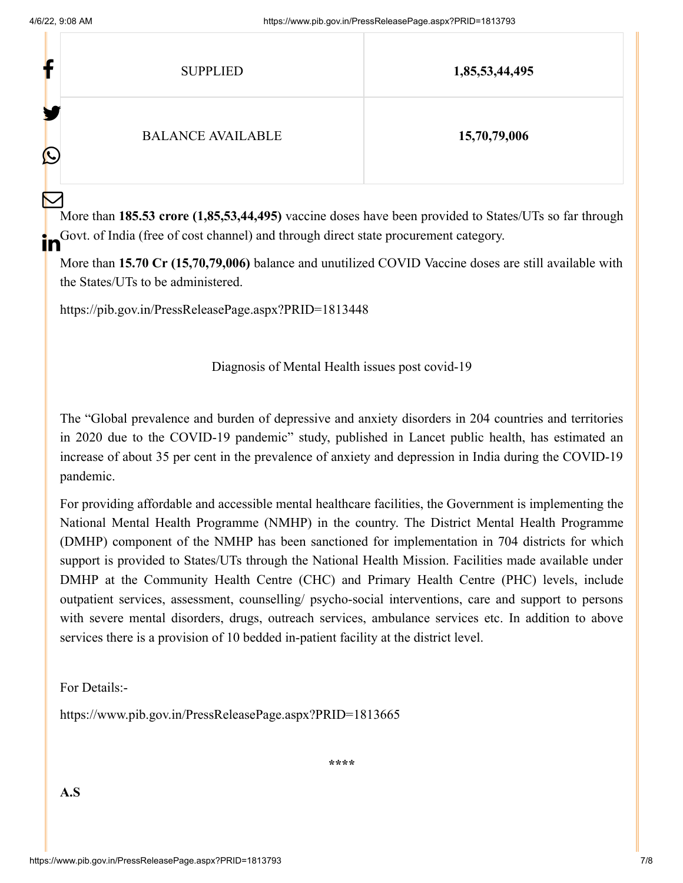$\mathbf{H} = \mathbf{F}$ 

| Ŀ                       | <b>SUPPLIED</b>          | 1,85,53,44,495 |
|-------------------------|--------------------------|----------------|
| ł.<br>$\mathbf{\Omega}$ | <b>BALANCE AVAILABLE</b> | 15,70,79,006   |

More than **185.53 crore (1,85,53,44,495)** vaccine doses have been provided to States/UTs so far through Govt. of India (free of cost channel) and through direct state procurement category.  $\bm{\nabla}$ ın

More than **15.70 Cr (15,70,79,006)** balance and unutilized COVID Vaccine doses are still available with the States/UTs to be administered.

<https://pib.gov.in/PressReleasePage.aspx?PRID=1813448>

Diagnosis of Mental Health issues post covid-19

The "Global prevalence and burden of depressive and anxiety disorders in 204 countries and territories in 2020 due to the COVID-19 pandemic" study, published in Lancet public health, has estimated an increase of about 35 per cent in the prevalence of anxiety and depression in India during the COVID-19 pandemic.

For providing affordable and accessible mental healthcare facilities, the Government is implementing the National Mental Health Programme (NMHP) in the country. The District Mental Health Programme (DMHP) component of the NMHP has been sanctioned for implementation in 704 districts for which support is provided to States/UTs through the National Health Mission. Facilities made available under DMHP at the Community Health Centre (CHC) and Primary Health Centre (PHC) levels, include outpatient services, assessment, counselling/ psycho-social interventions, care and support to persons with severe mental disorders, drugs, outreach services, ambulance services etc. In addition to above services there is a provision of 10 bedded in-patient facility at the district level.

For Details:-

<https://www.pib.gov.in/PressReleasePage.aspx?PRID=1813665>

**\*\*\*\***

**A.S**